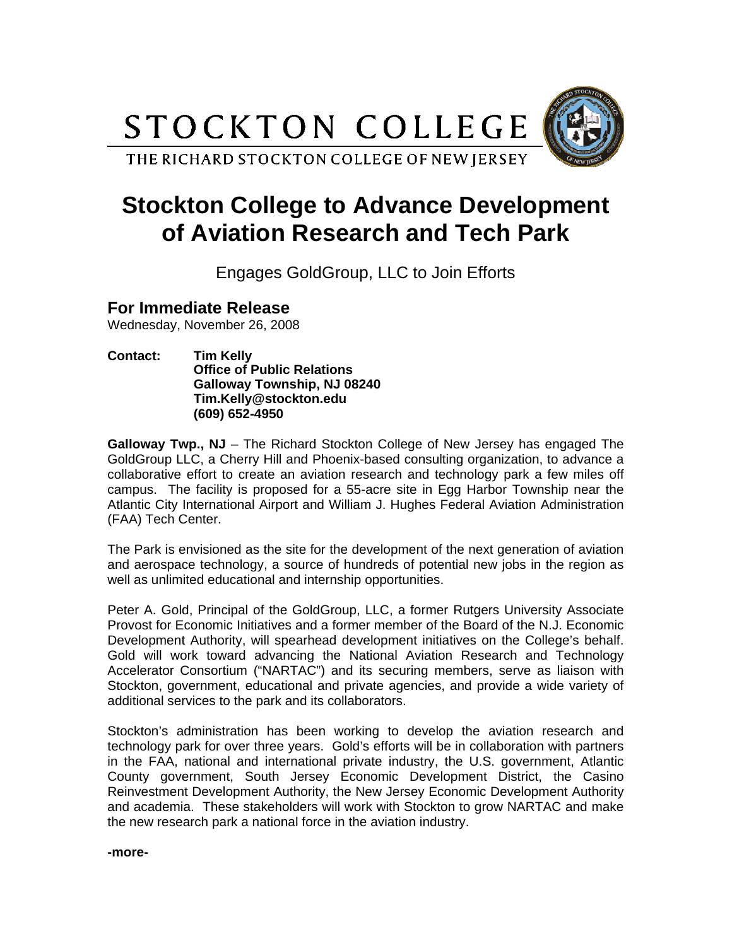STOCKTON COLLEGE

THE RICHARD STOCKTON COLLEGE OF NEW JERSEY



## **Stockton College to Advance Development of Aviation Research and Tech Park**

Engages GoldGroup, LLC to Join Efforts

## **For Immediate Release**

Wednesday, November 26, 2008

**Contact: Tim Kelly Office of Public Relations Galloway Township, NJ 08240 Tim.Kelly@stockton.edu (609) 652-4950** 

**Galloway Twp., NJ** – The Richard Stockton College of New Jersey has engaged The GoldGroup LLC, a Cherry Hill and Phoenix-based consulting organization, to advance a collaborative effort to create an aviation research and technology park a few miles off campus. The facility is proposed for a 55-acre site in Egg Harbor Township near the Atlantic City International Airport and William J. Hughes Federal Aviation Administration (FAA) Tech Center.

The Park is envisioned as the site for the development of the next generation of aviation and aerospace technology, a source of hundreds of potential new jobs in the region as well as unlimited educational and internship opportunities.

Peter A. Gold, Principal of the GoldGroup, LLC, a former Rutgers University Associate Provost for Economic Initiatives and a former member of the Board of the N.J. Economic Development Authority, will spearhead development initiatives on the College's behalf. Gold will work toward advancing the National Aviation Research and Technology Accelerator Consortium ("NARTAC") and its securing members, serve as liaison with Stockton, government, educational and private agencies, and provide a wide variety of additional services to the park and its collaborators.

Stockton's administration has been working to develop the aviation research and technology park for over three years. Gold's efforts will be in collaboration with partners in the FAA, national and international private industry, the U.S. government, Atlantic County government, South Jersey Economic Development District, the Casino Reinvestment Development Authority, the New Jersey Economic Development Authority and academia. These stakeholders will work with Stockton to grow NARTAC and make the new research park a national force in the aviation industry.

**-more-**